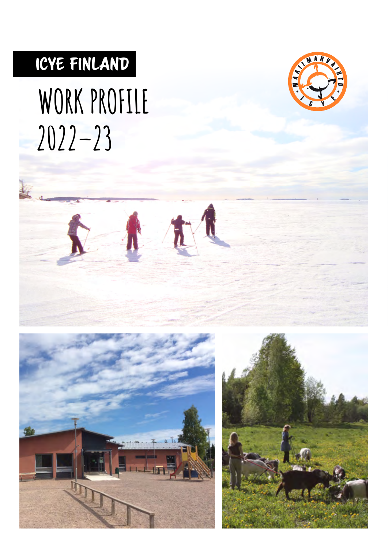## ICYE FINLAND

# **WORK PROFILE 2022–23**







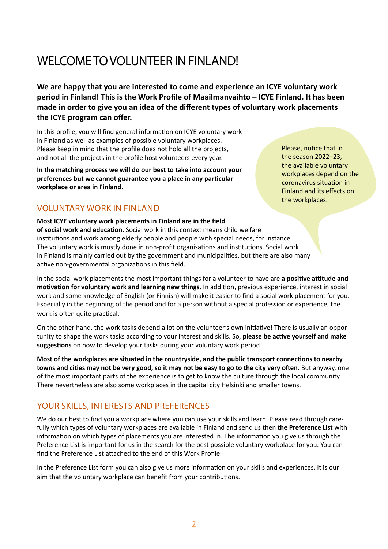### WELCOME TO VOLUNTEER IN FINLAND!

**We are happy that you are interested to come and experience an ICYE voluntary work period in Finland! This is the Work Profile of Maailmanvaihto – ICYE Finland. It has been made in order to give you an idea of the different types of voluntary work placements the ICYE program can offer.**

In this profile, you will find general information on ICYE voluntary work in Finland as well as examples of possible voluntary workplaces. Please keep in mind that the profile does not hold all the projects, and not all the projects in the profile host volunteers every year.

**In the matching process we will do our best to take into account your preferences but we cannot guarantee you a place in any particular workplace or area in Finland.** 

VOLUNTARY WORK IN FINLAND

**Most ICYE voluntary work placements in Finland are in the field**

Please, notice that in the season 2022–23, the available voluntary workplaces depend on the coronavirus situation in Finland and its effects on the workplaces.

**of social work and education.** Social work in this context means child welfare institutions and work among elderly people and people with special needs, for instance. The voluntary work is mostly done in non-profit organisations and institutions. Social work in Finland is mainly carried out by the government and municipalities, but there are also many active non-governmental organizations in this field.

In the social work placements the most important things for a volunteer to have are **a positive attitude and motivation for voluntary work and learning new things.** In addition, previous experience, interest in social work and some knowledge of English (or Finnish) will make it easier to find a social work placement for you. Especially in the beginning of the period and for a person without a special profession or experience, the work is often quite practical.

On the other hand, the work tasks depend a lot on the volunteer's own initiative! There is usually an opportunity to shape the work tasks according to your interest and skills. So, **please be active yourself and make suggestions** on how to develop your tasks during your voluntary work period!

**Most of the workplaces are situated in the countryside, and the public transport connections to nearby towns and cities may not be very good, so it may not be easy to go to the city very often.** But anyway, one of the most important parts of the experience is to get to know the culture through the local community. There nevertheless are also some workplaces in the capital city Helsinki and smaller towns.

### YOUR SKILLS, INTERESTS AND PREFERENCES

We do our best to find you a workplace where you can use your skills and learn. Please read through carefully which types of voluntary workplaces are available in Finland and send us then **the Preference List** with information on which types of placements you are interested in. The information you give us through the Preference List is important for us in the search for the best possible voluntary workplace for you. You can find the Preference List attached to the end of this Work Profile.

In the Preference List form you can also give us more information on your skills and experiences. It is our aim that the voluntary workplace can benefit from your contributions.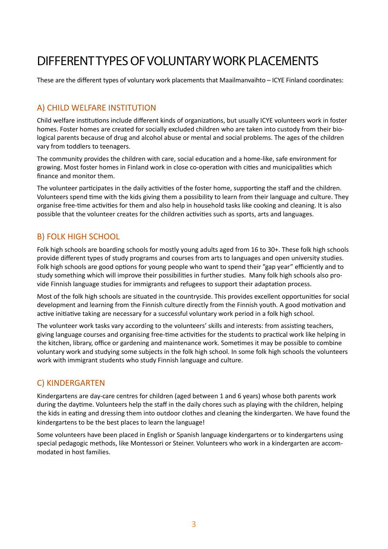### DIFFERENT TYPES OF VOLUNTARY WORK PLACEMENTS

These are the different types of voluntary work placements that Maailmanvaihto – ICYE Finland coordinates:

### A) CHILD WELFARE INSTITUTION

Child welfare institutions include different kinds of organizations, but usually ICYE volunteers work in foster homes. Foster homes are created for socially excluded children who are taken into custody from their biological parents because of drug and alcohol abuse or mental and social problems. The ages of the children vary from toddlers to teenagers.

The community provides the children with care, social education and a home-like, safe environment for growing. Most foster homes in Finland work in close co-operation with cities and municipalities which finance and monitor them.

The volunteer participates in the daily activities of the foster home, supporting the staff and the children. Volunteers spend time with the kids giving them a possibility to learn from their language and culture. They organise free-time activities for them and also help in household tasks like cooking and cleaning. It is also possible that the volunteer creates for the children activities such as sports, arts and languages.

### B) FOLK HIGH SCHOOL

Folk high schools are boarding schools for mostly young adults aged from 16 to 30+. These folk high schools provide different types of study programs and courses from arts to languages and open university studies. Folk high schools are good options for young people who want to spend their "gap year" efficiently and to study something which will improve their possibilities in further studies. Many folk high schools also provide Finnish language studies for immigrants and refugees to support their adaptation process.

Most of the folk high schools are situated in the countryside. This provides excellent opportunities for social development and learning from the Finnish culture directly from the Finnish youth. A good motivation and active initiative taking are necessary for a successful voluntary work period in a folk high school.

The volunteer work tasks vary according to the volunteers' skills and interests: from assisting teachers, giving language courses and organising free-time activities for the students to practical work like helping in the kitchen, library, office or gardening and maintenance work. Sometimes it may be possible to combine voluntary work and studying some subjects in the folk high school. In some folk high schools the volunteers work with immigrant students who study Finnish language and culture.

### C) KINDERGARTEN

Kindergartens are day-care centres for children (aged between 1 and 6 years) whose both parents work during the daytime. Volunteers help the staff in the daily chores such as playing with the children, helping the kids in eating and dressing them into outdoor clothes and cleaning the kindergarten. We have found the kindergartens to be the best places to learn the language!

Some volunteers have been placed in English or Spanish language kindergartens or to kindergartens using special pedagogic methods, like Montessori or Steiner. Volunteers who work in a kindergarten are accommodated in host families.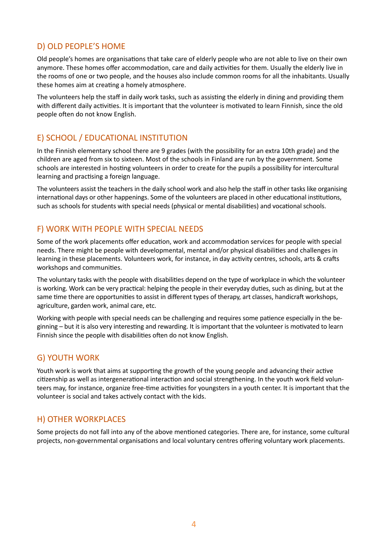### D) OLD PEOPLE'S HOME

Old people's homes are organisations that take care of elderly people who are not able to live on their own anymore. These homes offer accommodation, care and daily activities for them. Usually the elderly live in the rooms of one or two people, and the houses also include common rooms for all the inhabitants. Usually these homes aim at creating a homely atmosphere.

The volunteers help the staff in daily work tasks, such as assisting the elderly in dining and providing them with different daily activities. It is important that the volunteer is motivated to learn Finnish, since the old people often do not know English.

### E) SCHOOL / EDUCATIONAL INSTITUTION

In the Finnish elementary school there are 9 grades (with the possibility for an extra 10th grade) and the children are aged from six to sixteen. Most of the schools in Finland are run by the government. Some schools are interested in hosting volunteers in order to create for the pupils a possibility for intercultural learning and practising a foreign language.

The volunteers assist the teachers in the daily school work and also help the staff in other tasks like organising international days or other happenings. Some of the volunteers are placed in other educational institutions, such as schools for students with special needs (physical or mental disabilities) and vocational schools.

### F) WORK WITH PEOPLE WITH SPECIAL NEEDS

Some of the work placements offer education, work and accommodation services for people with special needs. There might be people with developmental, mental and/or physical disabilities and challenges in learning in these placements. Volunteers work, for instance, in day activity centres, schools, arts & crafts workshops and communities.

The voluntary tasks with the people with disabilities depend on the type of workplace in which the volunteer is working. Work can be very practical: helping the people in their everyday duties, such as dining, but at the same time there are opportunities to assist in different types of therapy, art classes, handicraft workshops, agriculture, garden work, animal care, etc.

Working with people with special needs can be challenging and requires some patience especially in the beginning – but it is also very interesting and rewarding. It is important that the volunteer is motivated to learn Finnish since the people with disabilities often do not know English.

### G) YOUTH WORK

Youth work is work that aims at supporting the growth of the young people and advancing their active citizenship as well as intergenerational interaction and social strengthening. In the youth work field volunteers may, for instance, organize free-time activities for youngsters in a youth center. It is important that the volunteer is social and takes actively contact with the kids.

### H) OTHER WORKPLACES

Some projects do not fall into any of the above mentioned categories. There are, for instance, some cultural projects, non-governmental organisations and local voluntary centres offering voluntary work placements.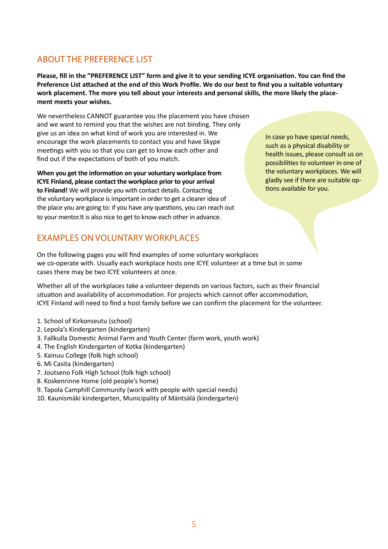### ABOUT THE PREFERENCE LIST

**Please, fill in the "PREFERENCE LIST" form and give it to your sending ICYE organisation. You can find the Preference List attached at the end of this Work Profile. We do our best to find you a suitable voluntary work placement. The more you tell about your interests and personal skills, the more likely the placement meets your wishes.**

We nevertheless CANNOT guarantee you the placement you have chosen and we want to remind you that the wishes are not binding. They only give us an idea on what kind of work you are interested in. We encourage the work placements to contact you and have Skype meetings with you so that you can get to know each other and find out if the expectations of both of you match.

**When you get the information on your voluntary workplace from ICYE Finland, please contact the workplace prior to your arrival to Finland!** We will provide you with contact details. Contacting the voluntary workplace is important in order to get a clearer idea of the place you are going to: if you have any questions, you can reach out to your mentor.It is also nice to get to know each other in advance.

In case yo have special needs, such as a physical disability or health issues, please consult us on possibilities to volunteer in one of the voluntary workplaces. We will gladly see if there are suitable options available for you.

### EXAMPLES ON VOLUNTARY WORKPLACES

On the following pages you will find examples of some voluntary workplaces we co-operate with. Usually each workplace hosts one ICYE volunteer at a time but in some cases there may be two ICYE volunteers at once.

Whether all of the workplaces take a volunteer depends on various factors, such as their financial situation and availability of accommodation. For projects which cannot offer accommodation, ICYE Finland will need to find a host family before we can confirm the placement for the volunteer.

- 1. School of Kirkonseutu (school)
- 2. Lepola's Kindergarten (kindergarten)
- 3. Fallkulla Domestic Animal Farm and Youth Center (farm work, youth work)
- 4. The English Kindergarten of Kotka (kindergarten)
- 5. Kainuu College (folk high school)
- 6. Mi Casita (kindergarten)
- 7. Joutseno Folk High School (folk high school)
- 8. Koskenrinne Home (old people's home)
- 9. Tapola Camphill Community (work with people with special needs)
- 10. Kaunismäki kindergarten, Municipality of Mäntsälä (kindergarten)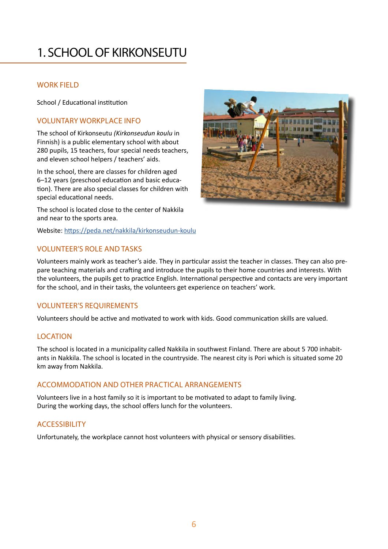### 1. SCHOOL OF KIRKONSEUTU

### WORK FIELD

School / Educational institution

### VOLUNTARY WORKPLACE INFO

The school of Kirkonseutu *(Kirkonseudun koulu* in Finnish) is a public elementary school with about 280 pupils, 15 teachers, four special needs teachers, and eleven school helpers / teachers' aids.

In the school, there are classes for children aged 6–12 years (preschool education and basic education). There are also special classes for children with special educational needs.

The school is located close to the center of Nakkila and near to the sports area.

Website: <https://peda.net/nakkila/kirkonseudun-koulu>



### VOLUNTEER'S ROLE AND TASKS

Volunteers mainly work as teacher's aide. They in particular assist the teacher in classes. They can also prepare teaching materials and crafting and introduce the pupils to their home countries and interests. With the volunteers, the pupils get to practice English. International perspective and contacts are very important for the school, and in their tasks, the volunteers get experience on teachers' work.

### VOLUNTEER'S REQUIREMENTS

Volunteers should be active and motivated to work with kids. Good communication skills are valued.

### LOCATION

The school is located in a municipality called Nakkila in southwest Finland. There are about 5 700 inhabitants in Nakkila. The school is located in the countryside. The nearest city is Pori which is situated some 20 km away from Nakkila.

### ACCOMMODATION AND OTHER PRACTICAL ARRANGEMENTS

Volunteers live in a host family so it is important to be motivated to adapt to family living. During the working days, the school offers lunch for the volunteers.

### ACCESSIBILITY

Unfortunately, the workplace cannot host volunteers with physical or sensory disabilities.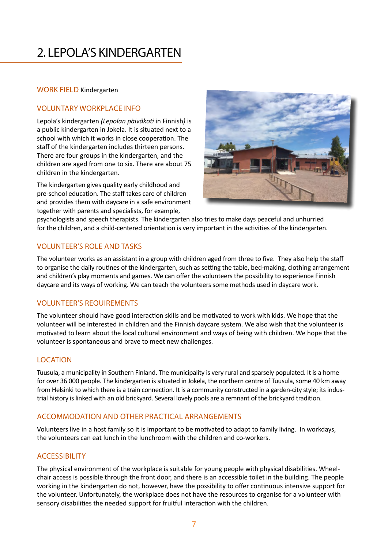### 2. LEPOLA'S KINDERGARTEN

#### WORK FIELD Kindergarten

### VOLUNTARY WORKPLACE INFO

Lepola's kindergarten *(Lepolan päiväkoti* in Finnish*)* is a public kindergarten in Jokela. It is situated next to a school with which it works in close cooperation. The staff of the kindergarten includes thirteen persons. There are four groups in the kindergarten, and the children are aged from one to six. There are about 75 children in the kindergarten.

The kindergarten gives quality early childhood and pre-school education. The staff takes care of children and provides them with daycare in a safe environment together with parents and specialists, for example,



psychologists and speech therapists. The kindergarten also tries to make days peaceful and unhurried for the children, and a child-centered orientation is very important in the activities of the kindergarten.

### VOLUNTEER'S ROLE AND TASKS

The volunteer works as an assistant in a group with children aged from three to five. They also help the staff to organise the daily routines of the kindergarten, such as setting the table, bed-making, clothing arrangement and children's play moments and games. We can offer the volunteers the possibility to experience Finnish daycare and its ways of working. We can teach the volunteers some methods used in daycare work.

### VOLUNTEER'S REQUIREMENTS

The volunteer should have good interaction skills and be motivated to work with kids. We hope that the volunteer will be interested in children and the Finnish daycare system. We also wish that the volunteer is motivated to learn about the local cultural environment and ways of being with children. We hope that the volunteer is spontaneous and brave to meet new challenges.

### LOCATION

Tuusula, a municipality in Southern Finland. The municipality is very rural and sparsely populated. It is a home for over 36 000 people. The kindergarten is situated in Jokela, the northern centre of Tuusula, some 40 km away from Helsinki to which there is a train connection. It is a community constructed in a garden-city style; its industrial history is linked with an old brickyard. Several lovely pools are a remnant of the brickyard tradition.

### ACCOMMODATION AND OTHER PRACTICAL ARRANGEMENTS

Volunteers live in a host family so it is important to be motivated to adapt to family living. In workdays, the volunteers can eat lunch in the lunchroom with the children and co-workers.

### ACCESSIBILITY

The physical environment of the workplace is suitable for young people with physical disabilities. Wheelchair access is possible through the front door, and there is an accessible toilet in the building. The people working in the kindergarten do not, however, have the possibility to offer continuous intensive support for the volunteer. Unfortunately, the workplace does not have the resources to organise for a volunteer with sensory disabilities the needed support for fruitful interaction with the children.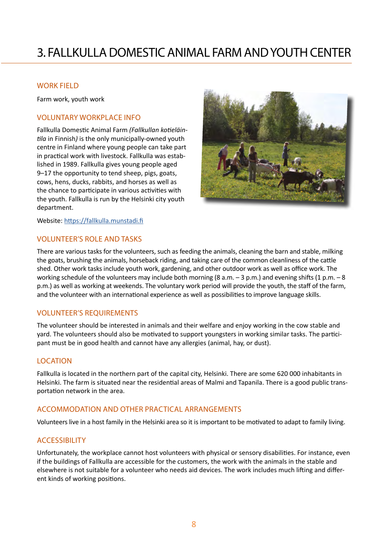### 3. FALLKULLA DOMESTIC ANIMAL FARM AND YOUTH CENTER

#### WORK FIELD

Farm work, youth work

#### VOLUNTARY WORKPLACE INFO

Fallkulla Domestic Animal Farm *(Fallkullan kotieläintila* in Finnish*)* is the only municipally-owned youth centre in Finland where young people can take part in practical work with livestock. Fallkulla was established in 1989. Fallkulla gives young people aged 9–17 the opportunity to tend sheep, pigs, goats, cows, hens, ducks, rabbits, and horses as well as the chance to participate in various activities with the youth. Fallkulla is run by the Helsinki city youth department.



Website: [https://fallkulla.munstadi.fi](https://fallkulla.munstadi.fi  )

#### VOLUNTEER'S ROLE AND TASKS

There are various tasks for the volunteers, such as feeding the animals, cleaning the barn and stable, milking the goats, brushing the animals, horseback riding, and taking care of the common cleanliness of the cattle shed. Other work tasks include youth work, gardening, and other outdoor work as well as office work. The working schedule of the volunteers may include both morning (8 a.m. – 3 p.m.) and evening shifts (1 p.m. – 8 p.m.) as well as working at weekends. The voluntary work period will provide the youth, the staff of the farm, and the volunteer with an international experience as well as possibilities to improve language skills.

### VOLUNTEER'S REQUIREMENTS

The volunteer should be interested in animals and their welfare and enjoy working in the cow stable and yard. The volunteers should also be motivated to support youngsters in working similar tasks. The participant must be in good health and cannot have any allergies (animal, hay, or dust).

### **LOCATION**

Fallkulla is located in the northern part of the capital city, Helsinki. There are some 620 000 inhabitants in Helsinki. The farm is situated near the residential areas of Malmi and Tapanila. There is a good public transportation network in the area.

### ACCOMMODATION AND OTHER PRACTICAL ARRANGEMENTS

Volunteers live in a host family in the Helsinki area so it is important to be motivated to adapt to family living.

### ACCESSIBILITY

Unfortunately, the workplace cannot host volunteers with physical or sensory disabilities. For instance, even if the buildings of Fallkulla are accessible for the customers, the work with the animals in the stable and elsewhere is not suitable for a volunteer who needs aid devices. The work includes much lifting and different kinds of working positions.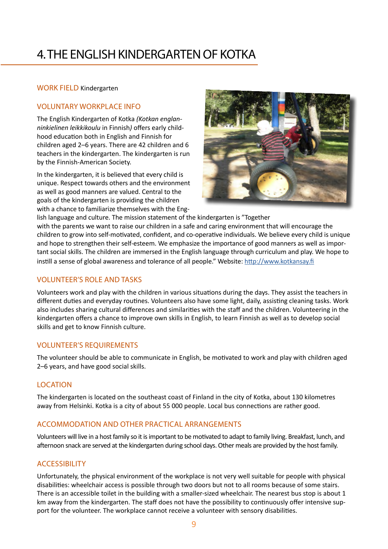### 4. THE ENGLISH KINDERGARTEN OF KOTKA

### WORK FIELD Kindergarten

### VOLUNTARY WORKPLACE INFO

The English Kindergarten of Kotka *(Kotkan englanninkielinen leikkikoulu* in Finnish*)* offers early childhood education both in English and Finnish for children aged 2–6 years. There are 42 children and 6 teachers in the kindergarten. The kindergarten is run by the Finnish-American Society.

In the kindergarten, it is believed that every child is unique. Respect towards others and the environment as well as good manners are valued. Central to the goals of the kindergarten is providing the children with a chance to familiarize themselves with the Eng-



lish language and culture. The mission statement of the kindergarten is "Together with the parents we want to raise our children in a safe and caring environment that will encourage the children to grow into self-motivated, confident, and co-operative individuals. We believe every child is unique and hope to strengthen their self-esteem. We emphasize the importance of good manners as well as important social skills. The children are immersed in the English language through curriculum and play. We hope to instill a sense of global awareness and tolerance of all people." Website:<http://www.kotkansay.fi>

### VOLUNTEER'S ROLE AND TASKS

Volunteers work and play with the children in various situations during the days. They assist the teachers in different duties and everyday routines. Volunteers also have some light, daily, assisting cleaning tasks. Work also includes sharing cultural differences and similarities with the staff and the children. Volunteering in the kindergarten offers a chance to improve own skills in English, to learn Finnish as well as to develop social skills and get to know Finnish culture.

### VOLUNTEER'S REQUIREMENTS

The volunteer should be able to communicate in English, be motivated to work and play with children aged 2–6 years, and have good social skills.

### **LOCATION**

The kindergarten is located on the southeast coast of Finland in the city of Kotka, about 130 kilometres away from Helsinki. Kotka is a city of about 55 000 people. Local bus connections are rather good.

### ACCOMMODATION AND OTHER PRACTICAL ARRANGEMENTS

Volunteers will live in a host family so it is important to be motivated to adapt to family living. Breakfast, lunch, and afternoon snack are served at the kindergarten during school days. Other meals are provided by the host family.

### ACCESSIBILITY

Unfortunately, the physical environment of the workplace is not very well suitable for people with physical disabilities: wheelchair access is possible through two doors but not to all rooms because of some stairs. There is an accessible toilet in the building with a smaller-sized wheelchair. The nearest bus stop is about 1 km away from the kindergarten. The staff does not have the possibility to continuously offer intensive support for the volunteer. The workplace cannot receive a volunteer with sensory disabilities.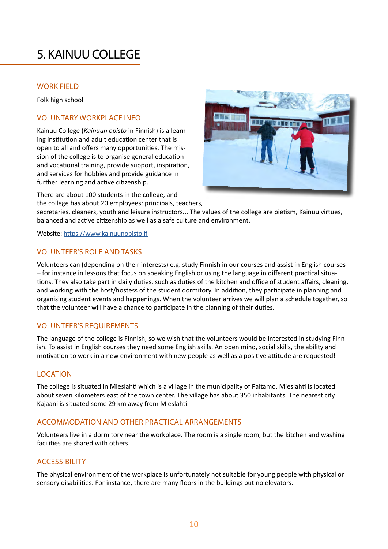### 5. KAINUU COLLEGE

### WORK FIELD

Folk high school

### VOLUNTARY WORKPLACE INFO

Kainuu College (*Kainuun opisto* in Finnish) is a learning institution and adult education center that is open to all and offers many opportunities. The mission of the college is to organise general education and vocational training, provide support, inspiration, and services for hobbies and provide guidance in further learning and active citizenship.



There are about 100 students in the college, and

the college has about 20 employees: principals, teachers,

secretaries, cleaners, youth and leisure instructors... The values of the college are pietism, Kainuu virtues, balanced and active citizenship as well as a safe culture and environment.

Website: <https://www.kainuunopisto.fi>

### VOLUNTEER'S ROLE AND TASKS

Volunteers can (depending on their interests) e.g. study Finnish in our courses and assist in English courses – for instance in lessons that focus on speaking English or using the language in different practical situations. They also take part in daily duties, such as duties of the kitchen and office of student affairs, cleaning, and working with the host/hostess of the student dormitory. In addition, they participate in planning and organising student events and happenings. When the volunteer arrives we will plan a schedule together, so that the volunteer will have a chance to participate in the planning of their duties.

### VOLUNTEER'S REQUIREMENTS

The language of the college is Finnish, so we wish that the volunteers would be interested in studying Finnish. To assist in English courses they need some English skills. An open mind, social skills, the ability and motivation to work in a new environment with new people as well as a positive attitude are requested!

### **LOCATION**

The college is situated in Mieslahti which is a village in the municipality of Paltamo. Mieslahti is located about seven kilometers east of the town center. The village has about 350 inhabitants. The nearest city Kajaani is situated some 29 km away from Mieslahti.

### ACCOMMODATION AND OTHER PRACTICAL ARRANGEMENTS

Volunteers live in a dormitory near the workplace. The room is a single room, but the kitchen and washing facilities are shared with others.

### ACCESSIBILITY

The physical environment of the workplace is unfortunately not suitable for young people with physical or sensory disabilities. For instance, there are many floors in the buildings but no elevators.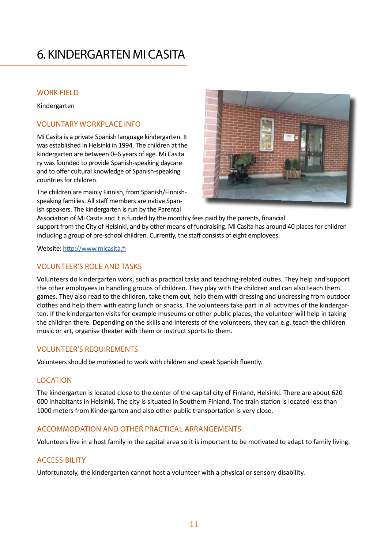### 6. KINDERGARTEN MI CASITA

### WORK FIELD

Kindergarten

### VOLUNTARY WORKPLACE INFO

Mi Casita is a private Spanish language kindergarten. It was established in Helsinki in 1994. The children at the kindergarten are between 0–6 years of age. Mi Casita ry was founded to provide Spanish-speaking daycare and to offer cultural knowledge of Spanish-speaking countries for children.

The children are mainly Finnish, from Spanish/Finnishspeaking families. All staff members are native Spanish speakers. The kindergarten is run by the Parental



Association of Mi Casita and it is funded by the monthly fees paid by the parents, financial support from the City of Helsinki, and by other means of fundraising. Mi Casita has around 40 places for children including a group of pre-school children. Currently, the staff consists of eight employees.

Website: <http://www.micasita.fi>

### VOLUNTEER'S ROLE AND TASKS

Volunteers do kindergarten work, such as practical tasks and teaching-related duties. They help and support the other employees in handling groups of children. They play with the children and can also teach them games. They also read to the children, take them out, help them with dressing and undressing from outdoor clothes and help them with eating lunch or snacks. The volunteers take part in all activities of the kindergarten. If the kindergarten visits for example museums or other public places, the volunteer will help in taking the children there. Depending on the skills and interests of the volunteers, they can e.g. teach the children music or art, organise theater with them or instruct sports to them.

### VOLUNTEER'S REQUIREMENTS

Volunteers should be motivated to work with children and speak Spanish fluently.

### LOCATION

The kindergarten is located close to the center of the capital city of Finland, Helsinki. There are about 620 000 inhabitants in Helsinki. The city is situated in Southern Finland. The train station is located less than 1000 meters from Kindergarten and also other public transportation is very close.

### ACCOMMODATION AND OTHER PRACTICAL ARRANGEMENTS

Volunteers live in a host family in the capital area so it is important to be motivated to adapt to family living.

### ACCESSIBILITY

Unfortunately, the kindergarten cannot host a volunteer with a physical or sensory disability.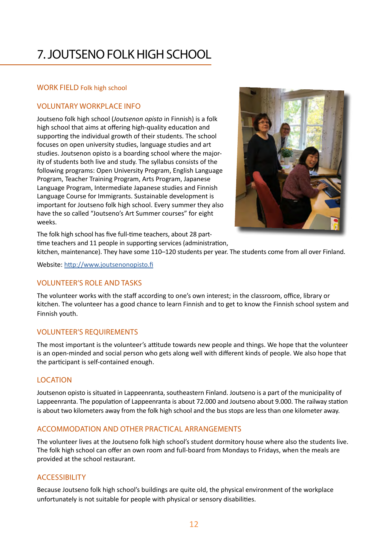### 7. JOUTSENO FOLK HIGH SCHOOL

### WORK FIELD Folk high school

### VOLUNTARY WORKPLACE INFO

Joutseno folk high school (*Joutsenon opisto* in Finnish) is a folk high school that aims at offering high-quality education and supporting the individual growth of their students. The school focuses on open university studies, language studies and art studies. Joutsenon opisto is a boarding school where the majority of students both live and study. The syllabus consists of the following programs: Open University Program, English Language Program, Teacher Training Program, Arts Program, Japanese Language Program, Intermediate Japanese studies and Finnish Language Course for Immigrants. Sustainable development is important for Joutseno folk high school. Every summer they also have the so called "Joutseno's Art Summer courses" for eight weeks.



The folk high school has five full-time teachers, about 28 parttime teachers and 11 people in supporting services (administration,

kitchen, maintenance). They have some 110–120 students per year. The students come from all over Finland.

Website: <http://www.joutsenonopisto.fi>

### VOLUNTEER'S ROLE AND TASKS

The volunteer works with the staff according to one's own interest; in the classroom, office, library or kitchen. The volunteer has a good chance to learn Finnish and to get to know the Finnish school system and Finnish youth.

### VOLUNTEER'S REQUIREMENTS

The most important is the volunteer's attitude towards new people and things. We hope that the volunteer is an open-minded and social person who gets along well with different kinds of people. We also hope that the participant is self-contained enough.

### LOCATION

Joutsenon opisto is situated in Lappeenranta, southeastern Finland. Joutseno is a part of the municipality of Lappeenranta. The population of Lappeenranta is about 72.000 and Joutseno about 9.000. The railway station is about two kilometers away from the folk high school and the bus stops are less than one kilometer away.

### ACCOMMODATION AND OTHER PRACTICAL ARRANGEMENTS

The volunteer lives at the Joutseno folk high school's student dormitory house where also the students live. The folk high school can offer an own room and full-board from Mondays to Fridays, when the meals are provided at the school restaurant.

### **ACCESSIBILITY**

Because Joutseno folk high school's buildings are quite old, the physical environment of the workplace unfortunately is not suitable for people with physical or sensory disabilities.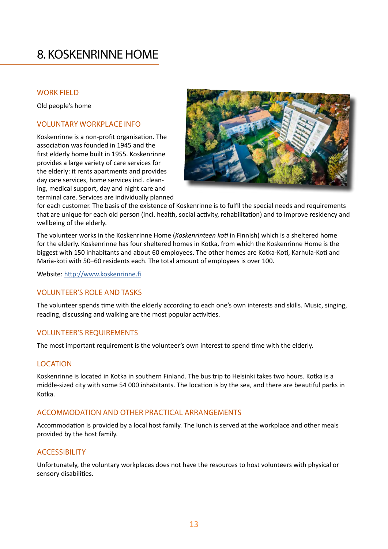### 8. KOSKENRINNE HOME

### WORK FIELD

Old people's home

### VOLUNTARY WORKPLACE INFO

Koskenrinne is a non-profit organisation. The association was founded in 1945 and the first elderly home built in 1955. Koskenrinne provides a large variety of care services for the elderly: it rents apartments and provides day care services, home services incl. cleaning, medical support, day and night care and terminal care. Services are individually planned



for each customer. The basis of the existence of Koskenrinne is to fulfil the special needs and requirements that are unique for each old person (incl. health, social activity, rehabilitation) and to improve residency and wellbeing of the elderly.

The volunteer works in the Koskenrinne Home (*Koskenrinteen koti* in Finnish) which is a sheltered home for the elderly. Koskenrinne has four sheltered homes in Kotka, from which the Koskenrinne Home is the biggest with 150 inhabitants and about 60 employees. The other homes are Kotka-Koti, Karhula-Koti and Maria-koti with 50–60 residents each. The total amount of employees is over 100.

Website: <http://www.koskenrinne.fi>

### VOLUNTEER'S ROLE AND TASKS

The volunteer spends time with the elderly according to each one's own interests and skills. Music, singing, reading, discussing and walking are the most popular activities.

#### VOLUNTEER'S REQUIREMENTS

The most important requirement is the volunteer's own interest to spend time with the elderly.

### LOCATION

Koskenrinne is located in Kotka in southern Finland. The bus trip to Helsinki takes two hours. Kotka is a middle-sized city with some 54 000 inhabitants. The location is by the sea, and there are beautiful parks in Kotka.

#### ACCOMMODATION AND OTHER PRACTICAL ARRANGEMENTS

Accommodation is provided by a local host family. The lunch is served at the workplace and other meals provided by the host family.

### **ACCESSIBILITY**

Unfortunately, the voluntary workplaces does not have the resources to host volunteers with physical or sensory disabilities.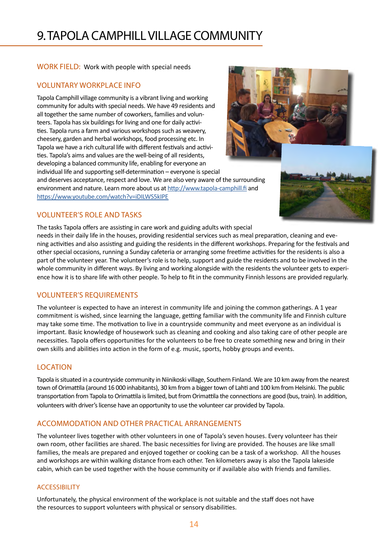### 9. TAPOLA CAMPHILL VILLAGE COMMUNITY

WORK FIELD: Work with people with special needs

### VOLUNTARY WORKPLACE INFO

Tapola Camphill village community is a vibrant living and working community for adults with special needs. We have 49 residents and all together the same number of coworkers, families and volunteers. Tapola has six buildings for living and one for daily activities. Tapola runs a farm and various workshops such as weavery, cheesery, garden and herbal workshops, food processing etc. In Tapola we have a rich cultural life with different festivals and activities. Tapola's aims and values are the well-being of all residents, developing a balanced community life, enabling for everyone an individual life and supporting self-determination – everyone is special



and deserves acceptance, respect and love. We are also very aware of the surrounding environment and nature. Learn more about us at<http://www.tapola-camphill.fi>and [https://www.youtube.com/watch?v=iDILWS5kIPE]( https://www.youtube.com/watch?v=iDILWS5kIPE)

### VOLUNTEER'S ROLE AND TASKS

The tasks Tapola offers are assisting in care work and guiding adults with special

needs in their daily life in the houses, providing residential services such as meal preparation, cleaning and evening activities and also assisting and guiding the residents in the different workshops. Preparing for the festivals and other special occasions, running a Sunday cafeteria or arranging some freetime activities for the residents is also a part of the volunteer year. The volunteer's role is to help, support and guide the residents and to be involved in the whole community in different ways. By living and working alongside with the residents the volunteer gets to experience how it is to share life with other people. To help to fit in the community Finnish lessons are provided regularly.

### VOLUNTEER'S REQUIREMENTS

The volunteer is expected to have an interest in community life and joining the common gatherings. A 1 year commitment is wished, since learning the language, getting familiar with the community life and Finnish culture may take some time. The motivation to live in a countryside community and meet everyone as an individual is important. Basic knowledge of housework such as cleaning and cooking and also taking care of other people are necessities. Tapola offers opportunities for the volunteers to be free to create something new and bring in their own skills and abilities into action in the form of e.g. music, sports, hobby groups and events.

### **LOCATION**

Tapola is situated in a countryside community in Niinikoski village, Southern Finland. We are 10 km away from the nearest town of Orimattila (around 16 000 inhabitants), 30 km from a bigger town of Lahti and 100 km from Helsinki. The public transportation from Tapola to Orimattila is limited, but from Orimattila the connections are good (bus, train). In addition, volunteers with driver's license have an opportunity to use the volunteer car provided by Tapola.

### ACCOMMODATION AND OTHER PRACTICAL ARRANGEMENTS

The volunteer lives together with other volunteers in one of Tapola's seven houses. Every volunteer has their own room, other facilities are shared. The basic necessities for living are provided. The houses are like small families, the meals are prepared and enjoyed together or cooking can be a task of a workshop. All the houses and workshops are within walking distance from each other. Ten kilometers away is also the Tapola lakeside cabin, which can be used together with the house community or if available also with friends and families.

#### ACCESSIBILITY

Unfortunately, the physical environment of the workplace is not suitable and the staff does not have the resources to support volunteers with physical or sensory disabilities.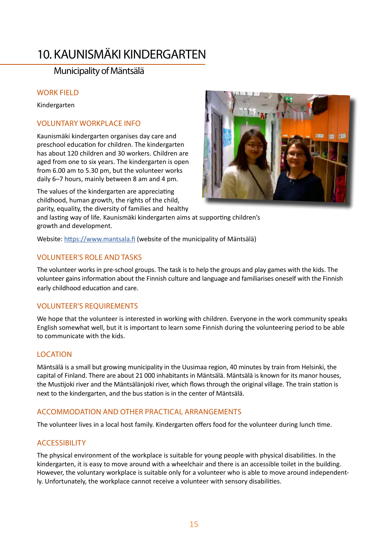### 10. KAUNISMÄKI KINDERGARTEN

### Municipality of Mäntsälä

### WORK FIELD

Kindergarten

### VOLUNTARY WORKPLACE INFO

Kaunismäki kindergarten organises day care and preschool education for children. The kindergarten has about 120 children and 30 workers. Children are aged from one to six years. The kindergarten is open from 6.00 am to 5.30 pm, but the volunteer works daily 6–7 hours, mainly between 8 am and 4 pm.

The values of the kindergarten are appreciating childhood, human growth, the rights of the child, parity, equality, the diversity of families and healthy

and lasting way of life. Kaunismäki kindergarten aims at supporting children's growth and development.

Website: <https://www.mantsala.fi> (website of the municipality of Mäntsälä)

### VOLUNTEER'S ROLE AND TASKS

The volunteer works in pre-school groups. The task is to help the groups and play games with the kids. The volunteer gains information about the Finnish culture and language and familiarises oneself with the Finnish early childhood education and care.

### VOLUNTEER'S REQUIREMENTS

We hope that the volunteer is interested in working with children. Everyone in the work community speaks English somewhat well, but it is important to learn some Finnish during the volunteering period to be able to communicate with the kids.

### **LOCATION**

Mäntsälä is a small but growing municipality in the Uusimaa region, 40 minutes by train from Helsinki, the capital of Finland. There are about 21 000 inhabitants in Mäntsälä. Mäntsälä is known for its manor houses, the Mustijoki river and the Mäntsälänjoki river, which flows through the original village. The train station is next to the kindergarten, and the bus station is in the center of Mäntsälä.

### ACCOMMODATION AND OTHER PRACTICAL ARRANGEMENTS

The volunteer lives in a local host family. Kindergarten offers food for the volunteer during lunch time.

### ACCESSIBILITY

The physical environment of the workplace is suitable for young people with physical disabilities. In the kindergarten, it is easy to move around with a wheelchair and there is an accessible toilet in the building. However, the voluntary workplace is suitable only for a volunteer who is able to move around independently. Unfortunately, the workplace cannot receive a volunteer with sensory disabilities.

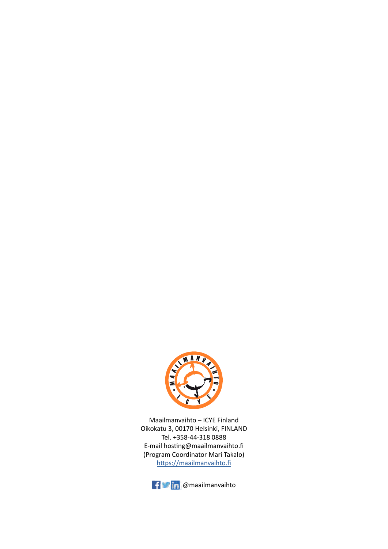

Maailmanvaihto – ICYE Finland Oikokatu 3, 00170 Helsinki, FINLAND Tel. +358-44-318 0888 E-mail hosting@maailmanvaihto.fi (Program Coordinator Mari Takalo) <https://maailmanvaihto.fi>

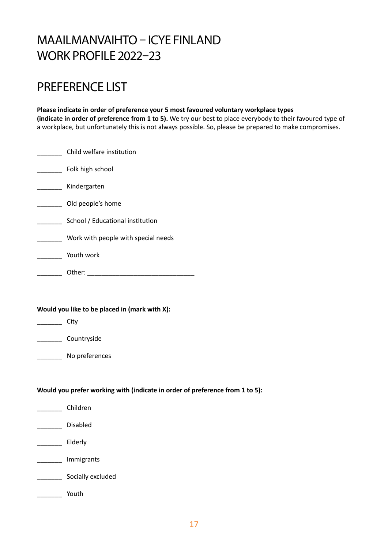### MAAILMANVAIHTO – ICYE FINLAND WORK PROFILE 2022–23

### PREFERENCE LIST

**Please indicate in order of preference your 5 most favoured voluntary workplace types (indicate in order of preference from 1 to 5).** We try our best to place everybody to their favoured type of a workplace, but unfortunately this is not always possible. So, please be prepared to make compromises.

| Child welfare institution           |
|-------------------------------------|
| Folk high school                    |
| Kindergarten                        |
| Old people's home                   |
| School / Educational institution    |
| Work with people with special needs |
| Youth work                          |
| Other:                              |

### **Would you like to be placed in (mark with X):**

 $\rule{1em}{0.15mm}$  City

|  | Countryside |
|--|-------------|
|--|-------------|

No preferences

#### **Would you prefer working with (indicate in order of preference from 1 to 5):**

| Children          |
|-------------------|
| Disabled          |
| Elderly           |
| Immigrants        |
| Socially excluded |
| Youth             |